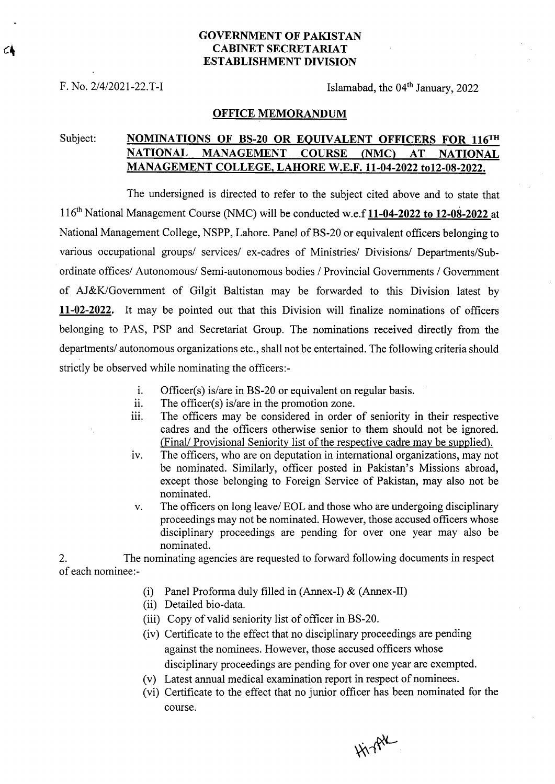### **GOVERNMENT OF PAKISTAN CABINET SECRETARIAT ESTABLISHMENT DIVISION**

F. No. 2/4/2021-22. T-I Islamabad, the 04<sup>th</sup> January, 2022

#### **OFFICE MEMORANDUM**

# Subject: **NOMINATIONS OF BS-20 OR EQUIVALENT OFFICERS FOR 116TH NATIONAL MANAGEMENT COURSE (NMC) AT NATIONAL MANAGEMENT COLLEGE, LAHORE W.E.F. 11-04-2022 to12-08-2022.**

The undersigned is directed to refer to the subject cited above and to state that 116th National Management Course (NMC) will be conducted w.e.f **11-04-2022 to 12-08-2022** at National Management College, NSPP, Lahore. Panel of BS-20 or equivalent officers belonging to various occupational groups/ services/ ex-cadres of Ministries/ Divisions/ Departments/Subordinate offices/ Autonomous/ Semi-autonomous bodies / Provincial Governments / Government of AJ&KJGovernment of Gilgit Baltistan may be forwarded to this Division latest by **11-02-2022.** It may be pointed out that this Division will finalize nominations of officers belonging to PAS, PSP and Secretariat Group. The nominations received directly from the departments/ autonomous organizations etc., shall not be entertained. The following criteria should strictly be observed while nominating the officers:-

- i. Officer(s) is/are in BS-20 or equivalent on regular basis.
- The officer(s) is/are in the promotion zone. ii.
- iii. The officers may be considered in order of seniority in their respective cadres and the officers otherwise senior to them should not be ignored. (Final/ Provisional Seniority list of the respective cadre may be supplied).
- The officers, who are on deputation in international organizations, may not iv. be nominated. Similarly, officer posted in Pakistan's Missions abroad, except those belonging to Foreign Service of Pakistan, may also not be nominated.
- The officers on long leave/ EOL and those who are undergoing disciplinary  $V_{\star}$ proceedings may not be nominated. However, those accused officers whose disciplinary proceedings are pending for over one year may also be nominated.

2. The nominating agencies are requested to forward following documents in respect of each nominee:-

- (i) Panel Proforma duly filled in (Annex-I)  $\&$  (Annex-II)
- (ii) Detailed bio-data.
- Copy of valid seniority list of officer in BS-20.
- (iv) Certificate to the effect that no disciplinary proceedings are pending against the nominees. However, those accused officers whose disciplinary proceedings are pending for over one year are exempted.
- Latest annual medical examination report in respect of nominees.
- (vi) Certificate to the effect that no junior officer has been nominated for the course.

Highl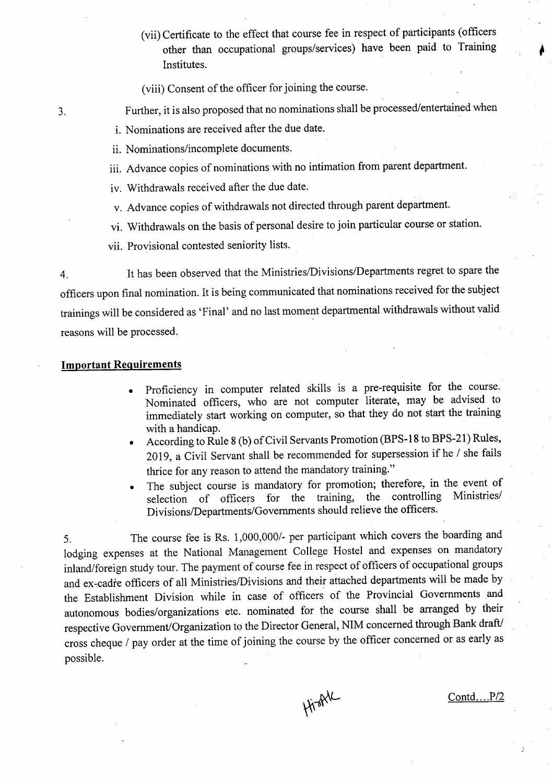- (vii) Certificate to the effect that course fee in respect of participants (officers other than occupational groups/services) have been paid to Training Institutes.
- (viii) Consent of the officer for joining the course.
- 3. Further, it is also proposed that no nominations shall be processed/entertained when
	- i. Nominations are received after the due date.
	- ii. Nominations/incomplete documents.
	- Advance copies of nominations with no intimation from parent department.
	- iv. Withdrawals received after the due date.
	- Advance copies of withdrawals not directed through parent department.
	- vi. Withdrawals on the basis of personal desire to join particular course or station.
	- vii. Provisional contested seniority lists.

4. It has been observed that the Ministries/Divisions/Departments regret to spare the officers upon final nomination. It is being communicated that nominations received for the subject trainings will be considered as 'Final' and no last moment departmental withdrawals without valid reasons will be processed.

## **Important Requirements**

- Proficiency in computer related skills is a pre-requisite for the course. Nominated officers, who are not computer literate, may be advised to immediately start working on computer, so that they do not start the training with a handicap.
- According to Rule 8 (b) of Civil Servants Promotion (BPS-18 to BPS-21) Rules,  $\bullet$ 2019, a Civil Servant shall be recommended for supersession if he / she fails thrice for any reason to attend the mandatory training."
- The subject course is mandatory for promotion; therefore, in the event of selection of officers for the training, the controlling Ministries/ selection of officers for the training, Divisions/Departments/Governments should relieve the officers.

5. The course fee is Rs. 1,000,000/- per participant which covers the boarding and lodging expenses at the National Management College Hostel and expenses on mandatory inland/foreign study tour. The payment of course fee in respect of officers of occupational groups and ex-cadre officers of all Ministries/Divisions and their attached departments will be made by the Establishment Division while in case of officers of the Provincial Governments and autonomous bodies/organizations etc. nominated for the course shall be arranged by their respective Government/Organization to the Director General, NIM concerned through Bank draft/ cross cheque / pay order at the time of joining the course by the officer concerned or as early as possible.

HisAL

Contd....P/2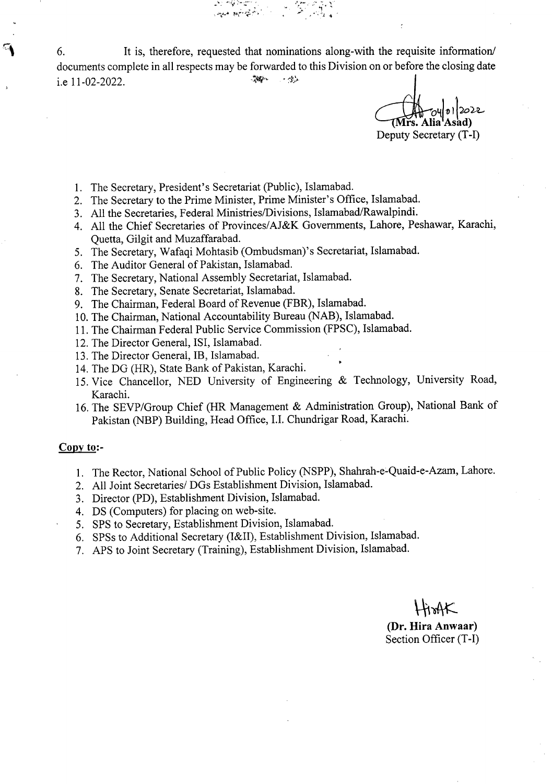6. It is, therefore, requested that nominations along-with the requisite information/ documents complete in all respects may be forwarded to this Division on or before the closing date 高山 مۇۋە ب i.e 11-02-2022.

0410112022 rs. Alia<sup>1</sup>Asad) Deputy Secretary (T-I)

1. The Secretary, President's Secretariat (Public), Islamabad.

*"* 

- 2. The Secretary to the Prime Minister, Prime Minister's Office, Islamabad.
- All the Secretaries, Federal Ministries/Divisions, Islamabad/Rawalpindi.
- All the Chief Secretaries of Provinces/AJ&K Governments, Lahore, Peshawar, Karachi, Quetta, Gilgit and Muzaffarabad.
- 5. The Secretary, Wafaqi Mohtasib (Ombudsman)'s Secretariat, Islamabad.
- The Auditor General of Pakistan, Islamabad.
- 7. The Secretary, National Assembly Secretariat, Islamabad.
- The Secretary, Senate Secretariat, Islamabad.
- 9. The Chairman, Federal Board of Revenue (FBR), Islamabad.
- 10. The Chairman, National Accountability Bureau (NAB), Islamabad.
- 11. The Chairman Federal Public Service Commission (FPSC), Islamabad.
- 12. The Director General, ISI, Islamabad.
- 13. The Director General, IB, Islamabad.
- 14. The DG (HR), State Bank of Pakistan, Karachi.
- 15. Vice Chancellor, NED University of Engineering & Technology, University Road, Karachi.
- 16. The SEVP/Group Chief (HR Management & Administration Group), National Bank of Pakistan (NBP) Building, Head Office, **LI.** Chundrigar Road, Karachi.

#### **Copy to:-**

- 1. The Rector, National School of Public Policy (NSPP), Shahrah-e-Quaid-e-Azam, Lahore.
- All Joint Secretaries/ DGs Establishment Division, Islamabad.
- Director (PD), Establishment Division, Islamabad.
- DS (Computers) for placing on web-site.
- 5. SPS to Secretary, Establishment Division, Islamabad.
- SPSs to Additional Secretary (I&II), Establishment Division, Islamabad.
- APS to Joint Secretary (Training), Establishment Division, Islamabad.

 $H_0$ AK **(Dr. Hira Anwaar)**  Section Officer (T-I)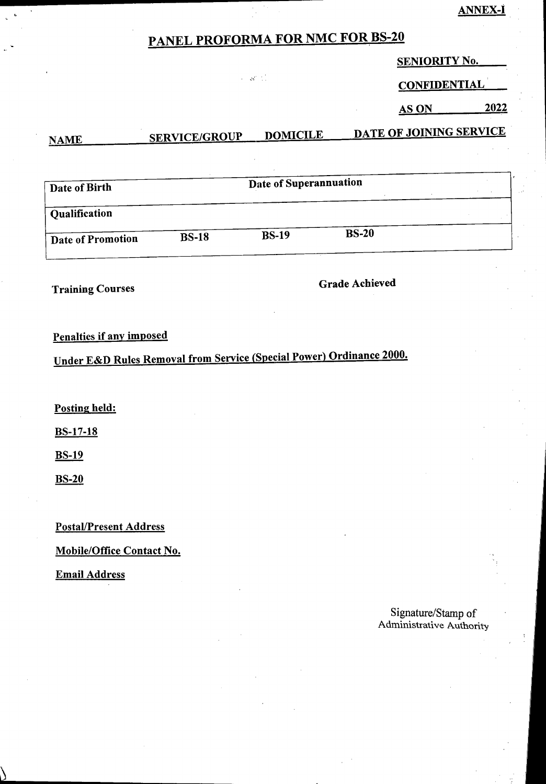## **ANNEX-I**

# **PANEL PROFORMA FOR NMC FOR BS-20**

 $\sim 35\%$  .

**SENIORITY No.** 

**CONFIDENTIAL** 

**AS ON 2022** 

| Date of Birth     |              | Date of Superannuation |              |  |  |
|-------------------|--------------|------------------------|--------------|--|--|
| Qualification     |              |                        |              |  |  |
| Date of Promotion | <b>BS-18</b> | <b>BS-19</b>           | <b>BS-20</b> |  |  |

**NAME SERVICE/GROUP DOMICILE DATE OF JOINING SERVICE** 

**Training Courses** <br>**Grade Achieved Grade** Achieved

# **Penalties if any imposed**

**Under E&D Rules Removal from Service (Special Power) Ordinance 2000.** 

**Posting held:** 

**BS-17-18** 

**BS-19** 

**BS-20** 

**Postal/Present Address** 

**Mobile/Office Contact No.** 

**Email Address** 

Signature/Stamp **of**  Administrative Authority